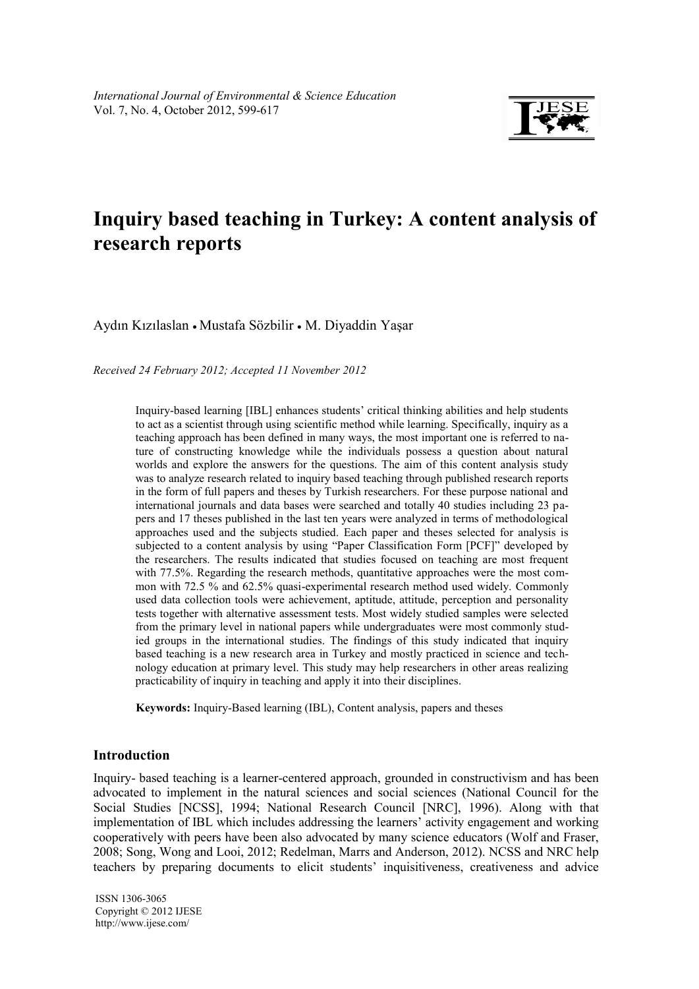

# **Inquiry based teaching in Turkey: A content analysis of research reports**

Aydın Kızılaslan • Mustafa Sözbilir • M. Diyaddin Yaşar

*Received 24 February 2012; Accepted 11 November 2012* 

Inquiry-based learning [IBL] enhances students' critical thinking abilities and help students to act as a scientist through using scientific method while learning. Specifically, inquiry as a teaching approach has been defined in many ways, the most important one is referred to nature of constructing knowledge while the individuals possess a question about natural worlds and explore the answers for the questions. The aim of this content analysis study was to analyze research related to inquiry based teaching through published research reports in the form of full papers and theses by Turkish researchers. For these purpose national and international journals and data bases were searched and totally 40 studies including 23 papers and 17 theses published in the last ten years were analyzed in terms of methodological approaches used and the subjects studied. Each paper and theses selected for analysis is subjected to a content analysis by using "Paper Classification Form [PCF]" developed by the researchers. The results indicated that studies focused on teaching are most frequent with 77.5%. Regarding the research methods, quantitative approaches were the most common with 72.5 % and 62.5% quasi-experimental research method used widely. Commonly used data collection tools were achievement, aptitude, attitude, perception and personality tests together with alternative assessment tests. Most widely studied samples were selected from the primary level in national papers while undergraduates were most commonly studied groups in the international studies. The findings of this study indicated that inquiry based teaching is a new research area in Turkey and mostly practiced in science and technology education at primary level. This study may help researchers in other areas realizing practicability of inquiry in teaching and apply it into their disciplines.

**Keywords:** Inquiry-Based learning (IBL), Content analysis, papers and theses

# **Introduction**

Inquiry- based teaching is a learner-centered approach, grounded in constructivism and has been advocated to implement in the natural sciences and social sciences (National Council for the Social Studies [NCSS], 1994; National Research Council [NRC], 1996). Along with that implementation of IBL which includes addressing the learners' activity engagement and working cooperatively with peers have been also advocated by many science educators (Wolf and Fraser, 2008; Song, Wong and Looi, 2012; Redelman, Marrs and Anderson, 2012). NCSS and NRC help teachers by preparing documents to elicit students' inquisitiveness, creativeness and advice

ISSN 1306-3065 Copyright © 2012 IJESE <http://www.ijese.com/>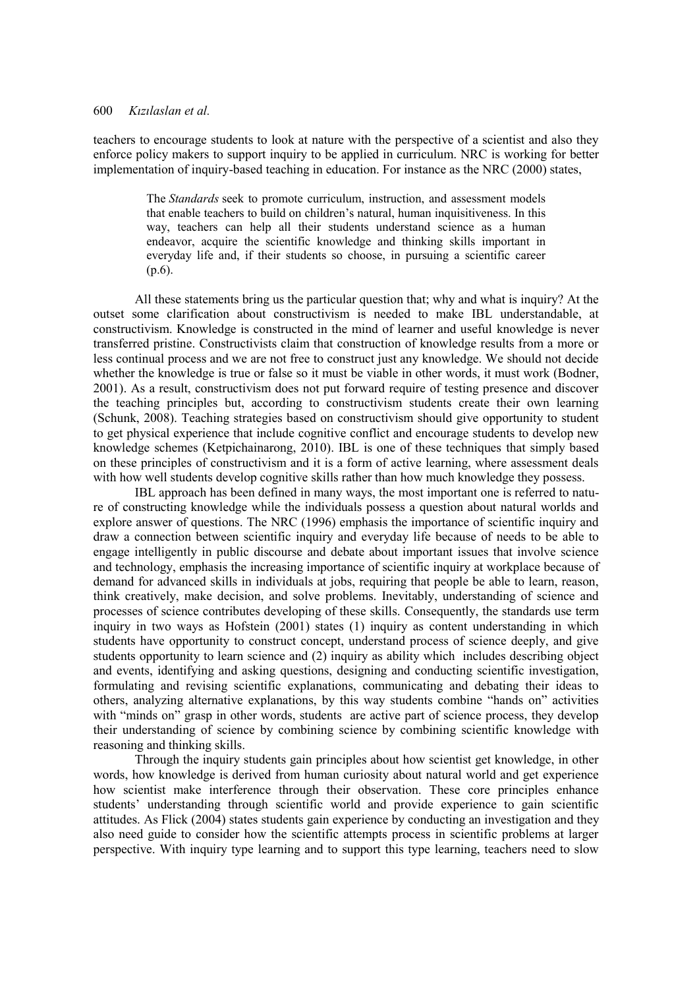teachers to encourage students to look at nature with the perspective of a scientist and also they enforce policy makers to support inquiry to be applied in curriculum. NRC is working for better implementation of inquiry-based teaching in education. For instance as the NRC (2000) states,

> The *Standards* seek to promote curriculum, instruction, and assessment models that enable teachers to build on children's natural, human inquisitiveness. In this way, teachers can help all their students understand science as a human endeavor, acquire the scientific knowledge and thinking skills important in everyday life and, if their students so choose, in pursuing a scientific career (p.6).

All these statements bring us the particular question that; why and what is inquiry? At the outset some clarification about constructivism is needed to make IBL understandable, at constructivism. Knowledge is constructed in the mind of learner and useful knowledge is never transferred pristine. Constructivists claim that construction of knowledge results from a more or less continual process and we are not free to construct just any knowledge. We should not decide whether the knowledge is true or false so it must be viable in other words, it must work (Bodner, 2001). As a result, constructivism does not put forward require of testing presence and discover the teaching principles but, according to constructivism students create their own learning (Schunk, 2008). Teaching strategies based on constructivism should give opportunity to student to get physical experience that include cognitive conflict and encourage students to develop new knowledge schemes (Ketpichainarong, 2010). IBL is one of these techniques that simply based on these principles of constructivism and it is a form of active learning, where assessment deals with how well students develop cognitive skills rather than how much knowledge they possess.

IBL approach has been defined in many ways, the most important one is referred to nature of constructing knowledge while the individuals possess a question about natural worlds and explore answer of questions. The NRC (1996) emphasis the importance of scientific inquiry and draw a connection between scientific inquiry and everyday life because of needs to be able to engage intelligently in public discourse and debate about important issues that involve science and technology, emphasis the increasing importance of scientific inquiry at workplace because of demand for advanced skills in individuals at jobs, requiring that people be able to learn, reason, think creatively, make decision, and solve problems. Inevitably, understanding of science and processes of science contributes developing of these skills. Consequently, the standards use term inquiry in two ways as Hofstein (2001) states (1) inquiry as content understanding in which students have opportunity to construct concept, understand process of science deeply, and give students opportunity to learn science and (2) inquiry as ability which includes describing object and events, identifying and asking questions, designing and conducting scientific investigation, formulating and revising scientific explanations, communicating and debating their ideas to others, analyzing alternative explanations, by this way students combine "hands on" activities with "minds on" grasp in other words, students are active part of science process, they develop their understanding of science by combining science by combining scientific knowledge with reasoning and thinking skills.

Through the inquiry students gain principles about how scientist get knowledge, in other words, how knowledge is derived from human curiosity about natural world and get experience how scientist make interference through their observation. These core principles enhance students' understanding through scientific world and provide experience to gain scientific attitudes. As Flick (2004) states students gain experience by conducting an investigation and they also need guide to consider how the scientific attempts process in scientific problems at larger perspective. With inquiry type learning and to support this type learning, teachers need to slow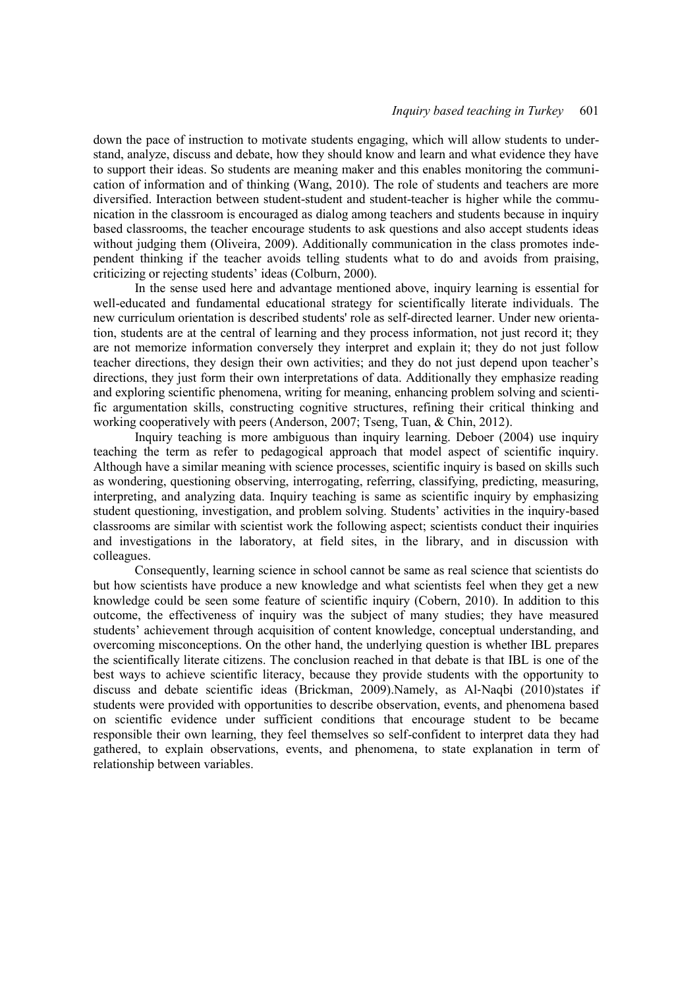down the pace of instruction to motivate students engaging, which will allow students to understand, analyze, discuss and debate, how they should know and learn and what evidence they have to support their ideas. So students are meaning maker and this enables monitoring the communication of information and of thinking (Wang, 2010). The role of students and teachers are more diversified. Interaction between student-student and student-teacher is higher while the communication in the classroom is encouraged as dialog among teachers and students because in inquiry based classrooms, the teacher encourage students to ask questions and also accept students ideas without judging them (Oliveira, 2009). Additionally communication in the class promotes independent thinking if the teacher avoids telling students what to do and avoids from praising, criticizing or rejecting students' ideas (Colburn, 2000).

In the sense used here and advantage mentioned above, inquiry learning is essential for well-educated and fundamental educational strategy for scientifically literate individuals. The new curriculum orientation is described students' role as self-directed learner. Under new orientation, students are at the central of learning and they process information, not just record it; they are not memorize information conversely they interpret and explain it; they do not just follow teacher directions, they design their own activities; and they do not just depend upon teacher's directions, they just form their own interpretations of data. Additionally they emphasize reading and exploring scientific phenomena, writing for meaning, enhancing problem solving and scientific argumentation skills, constructing cognitive structures, refining their critical thinking and working cooperatively with peers (Anderson, 2007; Tseng, Tuan, & Chin, 2012).

Inquiry teaching is more ambiguous than inquiry learning. Deboer (2004) use inquiry teaching the term as refer to pedagogical approach that model aspect of scientific inquiry. Although have a similar meaning with science processes, scientific inquiry is based on skills such as wondering, questioning observing, interrogating, referring, classifying, predicting, measuring, interpreting, and analyzing data. Inquiry teaching is same as scientific inquiry by emphasizing student questioning, investigation, and problem solving. Students' activities in the inquiry-based classrooms are similar with scientist work the following aspect; scientists conduct their inquiries and investigations in the laboratory, at field sites, in the library, and in discussion with colleagues.

Consequently, learning science in school cannot be same as real science that scientists do but how scientists have produce a new knowledge and what scientists feel when they get a new knowledge could be seen some feature of scientific inquiry (Cobern, 2010). In addition to this outcome, the effectiveness of inquiry was the subject of many studies; they have measured students' achievement through acquisition of content knowledge, conceptual understanding, and overcoming misconceptions. On the other hand, the underlying question is whether IBL prepares the scientifically literate citizens. The conclusion reached in that debate is that IBL is one of the best ways to achieve scientific literacy, because they provide students with the opportunity to discuss and debate scientific ideas (Brickman, 2009).Namely, as Al‐Naqbi (2010)states if students were provided with opportunities to describe observation, events, and phenomena based on scientific evidence under sufficient conditions that encourage student to be became responsible their own learning, they feel themselves so self-confident to interpret data they had gathered, to explain observations, events, and phenomena, to state explanation in term of relationship between variables.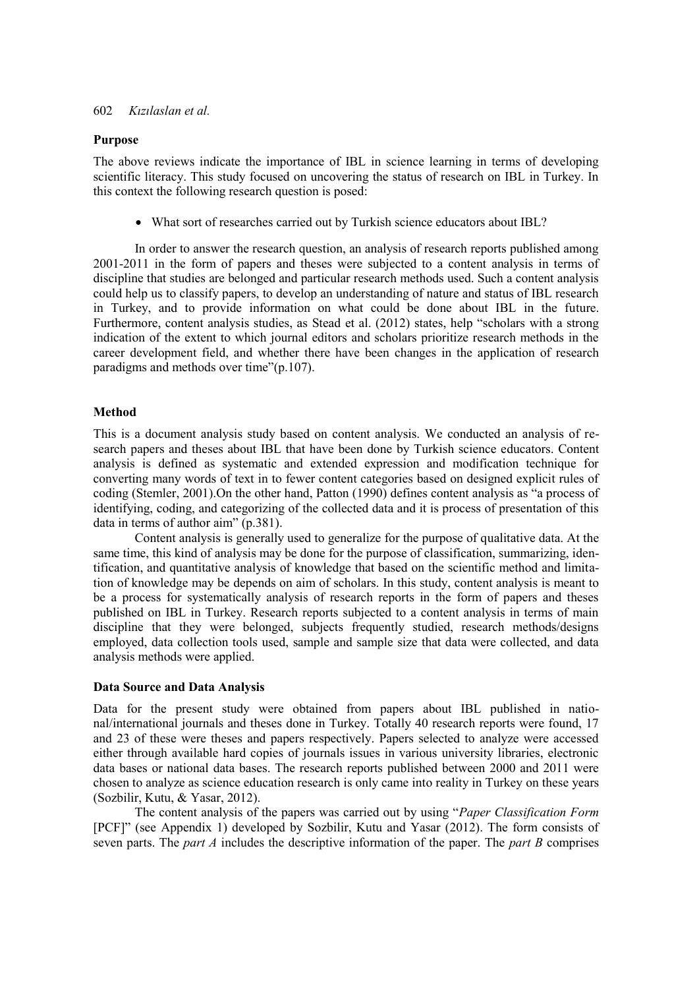#### **Purpose**

The above reviews indicate the importance of IBL in science learning in terms of developing scientific literacy. This study focused on uncovering the status of research on IBL in Turkey. In this context the following research question is posed:

What sort of researches carried out by Turkish science educators about IBL?

In order to answer the research question, an analysis of research reports published among 2001-2011 in the form of papers and theses were subjected to a content analysis in terms of discipline that studies are belonged and particular research methods used. Such a content analysis could help us to classify papers, to develop an understanding of nature and status of IBL research in Turkey, and to provide information on what could be done about IBL in the future. Furthermore, content analysis studies, as Stead et al. (2012) states, help "scholars with a strong indication of the extent to which journal editors and scholars prioritize research methods in the career development field, and whether there have been changes in the application of research paradigms and methods over time"(p.107).

#### **Method**

This is a document analysis study based on content analysis. We conducted an analysis of research papers and theses about IBL that have been done by Turkish science educators. Content analysis is defined as systematic and extended expression and modification technique for converting many words of text in to fewer content categories based on designed explicit rules of coding (Stemler, 2001).On the other hand, Patton (1990) defines content analysis as "a process of identifying, coding, and categorizing of the collected data and it is process of presentation of this data in terms of author aim" (p.381).

Content analysis is generally used to generalize for the purpose of qualitative data. At the same time, this kind of analysis may be done for the purpose of classification, summarizing, identification, and quantitative analysis of knowledge that based on the scientific method and limitation of knowledge may be depends on aim of scholars. In this study, content analysis is meant to be a process for systematically analysis of research reports in the form of papers and theses published on IBL in Turkey. Research reports subjected to a content analysis in terms of main discipline that they were belonged, subjects frequently studied, research methods/designs employed, data collection tools used, sample and sample size that data were collected, and data analysis methods were applied.

#### **Data Source and Data Analysis**

Data for the present study were obtained from papers about IBL published in national/international journals and theses done in Turkey. Totally 40 research reports were found, 17 and 23 of these were theses and papers respectively. Papers selected to analyze were accessed either through available hard copies of journals issues in various university libraries, electronic data bases or national data bases. The research reports published between 2000 and 2011 were chosen to analyze as science education research is only came into reality in Turkey on these years (Sozbilir, Kutu, & Yasar, 2012).

The content analysis of the papers was carried out by using "*Paper Classification Form*  [PCF]" (see Appendix 1) developed by Sozbilir, Kutu and Yasar (2012). The form consists of seven parts. The *part A* includes the descriptive information of the paper. The *part B* comprises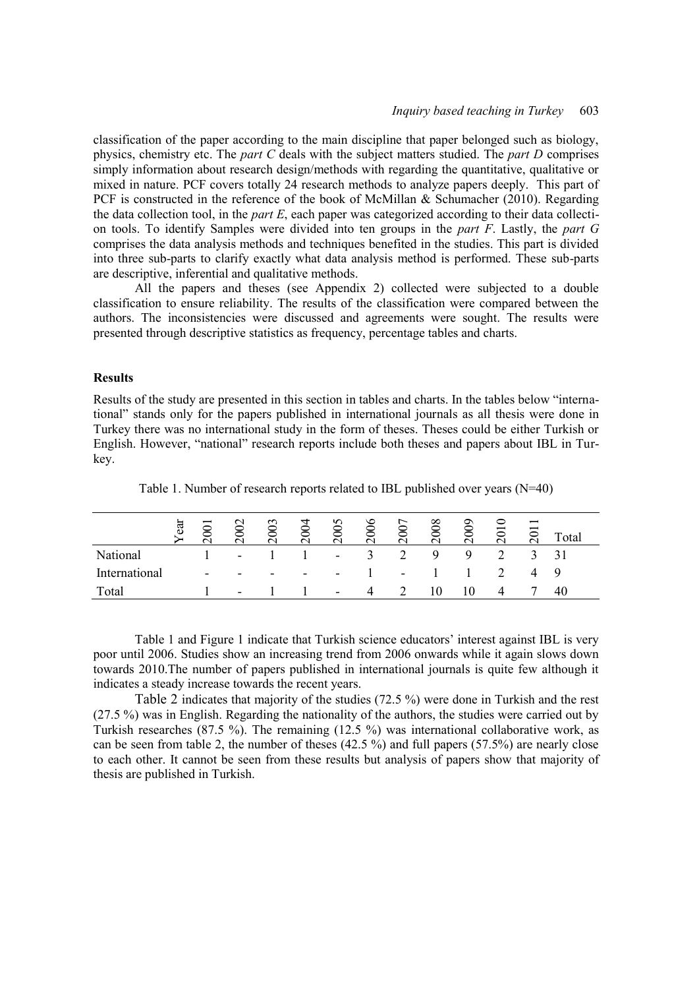classification of the paper according to the main discipline that paper belonged such as biology, physics, chemistry etc. The *part C* deals with the subject matters studied. The *part D* comprises simply information about research design/methods with regarding the quantitative, qualitative or mixed in nature. PCF covers totally 24 research methods to analyze papers deeply. This part of PCF is constructed in the reference of the book of McMillan & Schumacher (2010). Regarding the data collection tool, in the *part E*, each paper was categorized according to their data collection tools. To identify Samples were divided into ten groups in the *part F*. Lastly, the *part G* comprises the data analysis methods and techniques benefited in the studies. This part is divided into three sub-parts to clarify exactly what data analysis method is performed. These sub-parts are descriptive, inferential and qualitative methods.

All the papers and theses (see Appendix 2) collected were subjected to a double classification to ensure reliability. The results of the classification were compared between the authors. The inconsistencies were discussed and agreements were sought. The results were presented through descriptive statistics as frequency, percentage tables and charts.

### **Results**

Results of the study are presented in this section in tables and charts. In the tables below "international" stands only for the papers published in international journals as all thesis were done in Turkey there was no international study in the form of theses. Theses could be either Turkish or English. However, "national" research reports include both theses and papers about IBL in Turkey.

|               | ear | $\approx$                | 502                      | ొ<br>$\overline{\phantom{0}}$ | $\overline{6}$<br>$\sim$ | Φ                        | 006<br>$\sim$          | $\infty$<br>$\sim$ | 008 | 600<br>$\sim$ | $\overline{5}$ | $\overline{\phantom{0}}$<br>$\overline{\phantom{0}}$ | `otal |
|---------------|-----|--------------------------|--------------------------|-------------------------------|--------------------------|--------------------------|------------------------|--------------------|-----|---------------|----------------|------------------------------------------------------|-------|
| National      |     |                          | $\sim$                   |                               |                          | $\overline{\phantom{a}}$ | ┑                      |                    | 9   | Ч             |                |                                                      |       |
| International |     | $\overline{\phantom{0}}$ | $\overline{\phantom{0}}$ | $\overline{\phantom{0}}$      | $\overline{\phantom{a}}$ | $\overline{\phantom{0}}$ |                        | $\sim$             |     |               |                |                                                      | Q     |
| Total         |     |                          | $\overline{\phantom{0}}$ |                               |                          | $\overline{\phantom{a}}$ | $\boldsymbol{\Lambda}$ |                    |     | 10            | 4              |                                                      | 40    |

Table 1. Number of research reports related to IBL published over years (N=40)

Table 1 and Figure 1 indicate that Turkish science educators' interest against IBL is very poor until 2006. Studies show an increasing trend from 2006 onwards while it again slows down towards 2010.The number of papers published in international journals is quite few although it indicates a steady increase towards the recent years.

Table 2 indicates that majority of the studies (72.5 %) were done in Turkish and the rest (27.5 %) was in English. Regarding the nationality of the authors, the studies were carried out by Turkish researches (87.5 %). The remaining (12.5 %) was international collaborative work, as can be seen from table 2, the number of theses  $(42.5\%)$  and full papers  $(57.5%)$  are nearly close to each other. It cannot be seen from these results but analysis of papers show that majority of thesis are published in Turkish.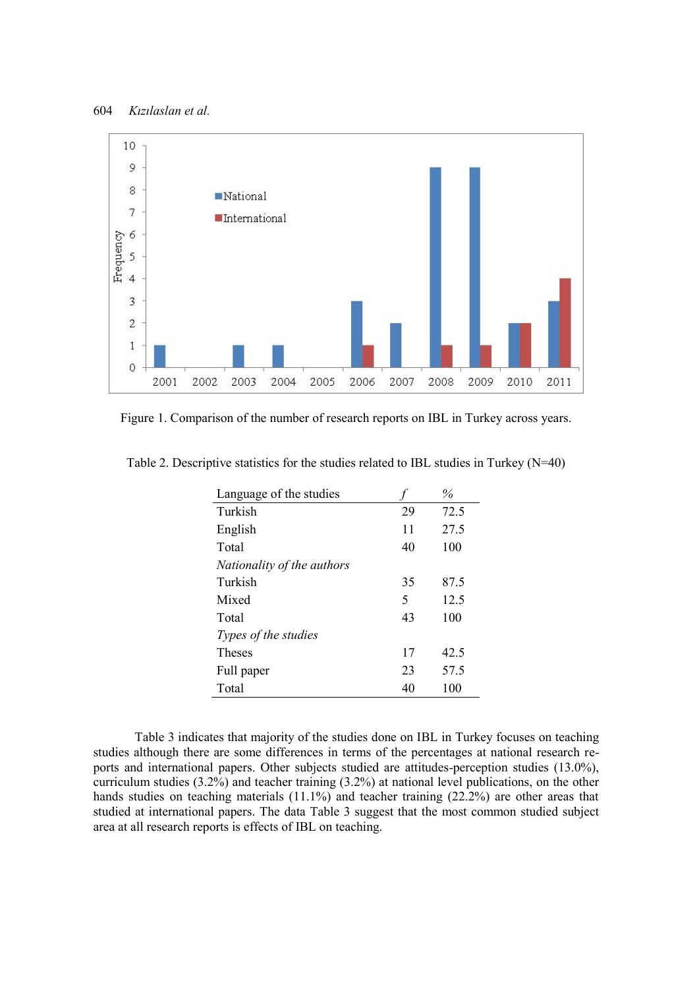

Figure 1. Comparison of the number of research reports on IBL in Turkey across years.

| Language of the studies    |    | $\%$ |
|----------------------------|----|------|
| Turkish                    | 29 | 72.5 |
| English                    | 11 | 27.5 |
| Total                      | 40 | 100  |
| Nationality of the authors |    |      |
| Turkish                    | 35 | 87.5 |
| Mixed                      | 5  | 12.5 |
| Total                      | 43 | 100  |
| Types of the studies       |    |      |
| <b>Theses</b>              | 17 | 42.5 |
| Full paper                 | 23 | 57.5 |
| Total                      | 40 | 100  |

Table 2. Descriptive statistics for the studies related to IBL studies in Turkey (N=40)

Table 3 indicates that majority of the studies done on IBL in Turkey focuses on teaching studies although there are some differences in terms of the percentages at national research reports and international papers. Other subjects studied are attitudes-perception studies (13.0%), curriculum studies (3.2%) and teacher training (3.2%) at national level publications, on the other hands studies on teaching materials (11.1%) and teacher training (22.2%) are other areas that studied at international papers. The data Table 3 suggest that the most common studied subject area at all research reports is effects of IBL on teaching.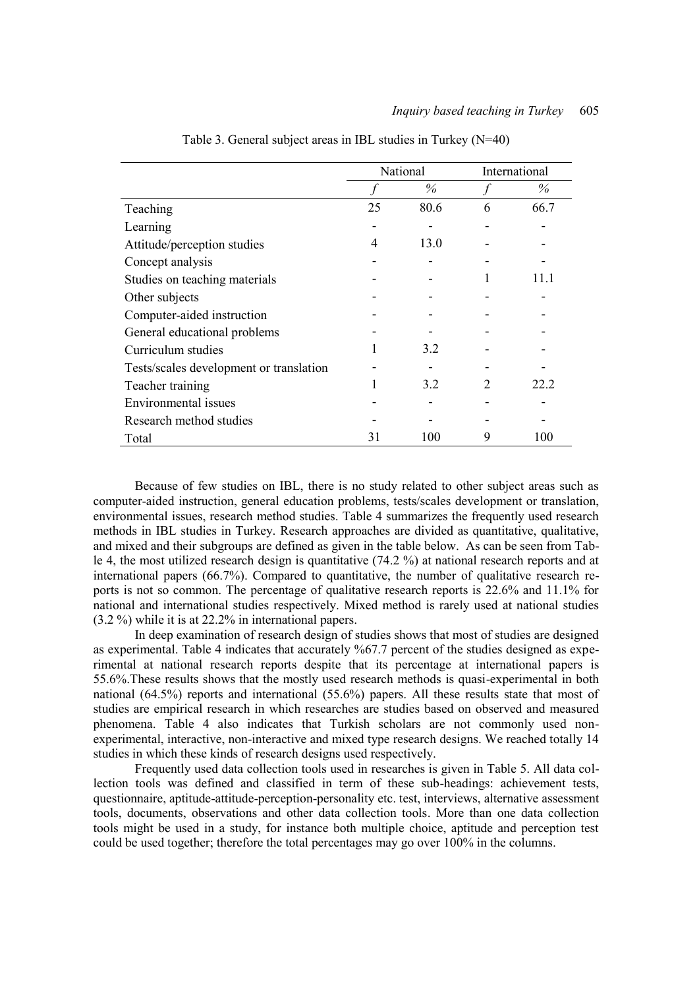|                                         | National |      |   | International |
|-----------------------------------------|----------|------|---|---------------|
|                                         |          | %    |   | $\%$          |
| Teaching                                | 25       | 80.6 | 6 | 66.7          |
| Learning                                |          |      |   |               |
| Attitude/perception studies             | 4        | 13.0 |   |               |
| Concept analysis                        |          |      |   |               |
| Studies on teaching materials           |          |      |   | 1 I I         |
| Other subjects                          |          |      |   |               |
| Computer-aided instruction              |          |      |   |               |
| General educational problems            |          |      |   |               |
| Curriculum studies                      |          | 3.2  |   |               |
| Tests/scales development or translation |          |      |   |               |
| Teacher training                        |          | 3.2  |   | 22 2          |
| Environmental issues                    |          |      |   |               |
| Research method studies                 |          |      |   |               |
| Total                                   | 31       | 100  | 9 | 100           |

Table 3. General subject areas in IBL studies in Turkey (N=40)

Because of few studies on IBL, there is no study related to other subject areas such as computer-aided instruction, general education problems, tests/scales development or translation, environmental issues, research method studies. Table 4 summarizes the frequently used research methods in IBL studies in Turkey. Research approaches are divided as quantitative, qualitative, and mixed and their subgroups are defined as given in the table below. As can be seen from Table 4, the most utilized research design is quantitative (74.2 %) at national research reports and at international papers  $(66.7%)$ . Compared to quantitative, the number of qualitative research reports is not so common. The percentage of qualitative research reports is 22.6% and 11.1% for national and international studies respectively. Mixed method is rarely used at national studies (3.2 %) while it is at 22.2% in international papers.

In deep examination of research design of studies shows that most of studies are designed as experimental. Table 4 indicates that accurately %67.7 percent of the studies designed as experimental at national research reports despite that its percentage at international papers is 55.6%.These results shows that the mostly used research methods is quasi-experimental in both national (64.5%) reports and international (55.6%) papers. All these results state that most of studies are empirical research in which researches are studies based on observed and measured phenomena. Table 4 also indicates that Turkish scholars are not commonly used nonexperimental, interactive, non-interactive and mixed type research designs. We reached totally 14 studies in which these kinds of research designs used respectively.

Frequently used data collection tools used in researches is given in Table 5. All data collection tools was defined and classified in term of these sub-headings: achievement tests, questionnaire, aptitude-attitude-perception-personality etc. test, interviews, alternative assessment tools, documents, observations and other data collection tools. More than one data collection tools might be used in a study, for instance both multiple choice, aptitude and perception test could be used together; therefore the total percentages may go over 100% in the columns.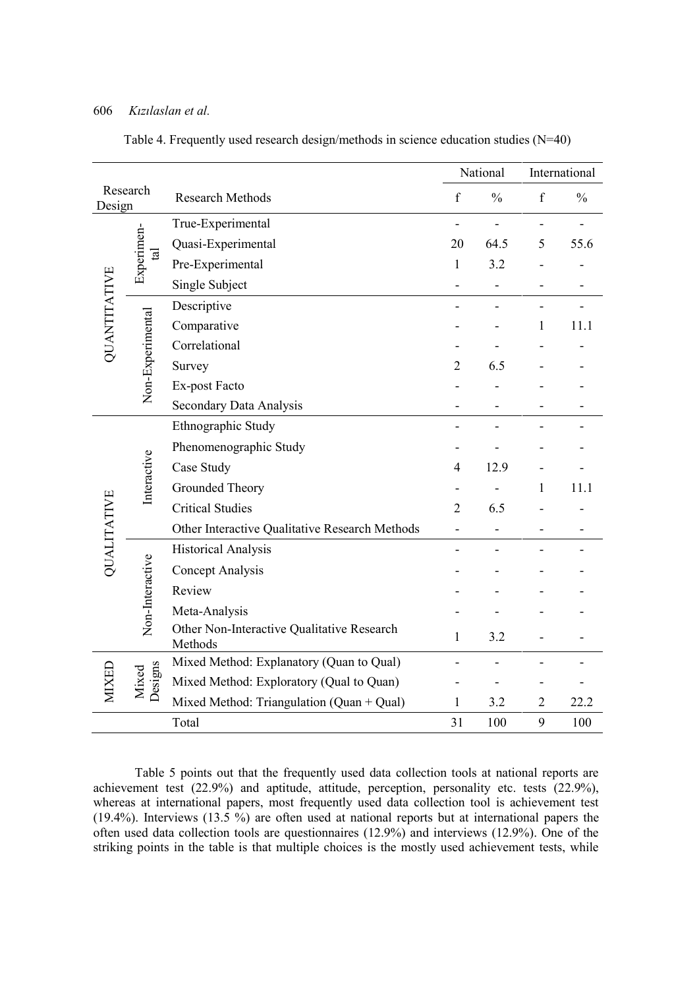|              |                            |                                                       |                          | National      |                          | International  |
|--------------|----------------------------|-------------------------------------------------------|--------------------------|---------------|--------------------------|----------------|
| Design       | Research                   | <b>Research Methods</b>                               | $\mathbf f$              | $\frac{0}{0}$ | f                        | $\frac{0}{0}$  |
|              |                            | True-Experimental                                     | $\overline{\phantom{0}}$ | $\frac{1}{2}$ | $\overline{\phantom{0}}$ | $\overline{a}$ |
|              | Experimen-<br>$\mathbf{a}$ | Quasi-Experimental                                    | 20                       | 64.5          | 5                        | 55.6           |
|              |                            | Pre-Experimental                                      | $\mathbf{1}$             | 3.2           |                          |                |
| QUANTITATIVE |                            | Single Subject                                        | -                        | -             |                          |                |
|              |                            | Descriptive                                           |                          |               |                          |                |
|              | Non-Experimental           | Comparative                                           |                          |               | 1                        | 11.1           |
|              |                            | Correlational                                         |                          |               |                          |                |
|              |                            | Survey                                                | $\overline{2}$           | 6.5           |                          |                |
|              |                            | Ex-post Facto                                         |                          |               |                          |                |
|              |                            | Secondary Data Analysis                               |                          |               |                          |                |
|              |                            | Ethnographic Study                                    |                          |               |                          |                |
|              |                            | Phenomenographic Study                                |                          |               |                          |                |
|              |                            | Case Study                                            | $\overline{4}$           | 12.9          |                          |                |
|              | Interactive                | Grounded Theory                                       |                          |               | 1                        | 11.1           |
|              |                            | <b>Critical Studies</b>                               | $\overline{2}$           | 6.5           |                          |                |
| QUALITATIVE  |                            | Other Interactive Qualitative Research Methods        |                          |               |                          |                |
|              |                            | <b>Historical Analysis</b>                            |                          |               |                          |                |
|              | Non-Interactive            | Concept Analysis                                      |                          |               |                          |                |
|              |                            | Review                                                |                          |               |                          |                |
|              |                            | Meta-Analysis                                         |                          |               |                          |                |
|              |                            | Other Non-Interactive Qualitative Research<br>Methods | $\mathbf{1}$             | 3.2           |                          |                |
|              |                            | Mixed Method: Explanatory (Quan to Qual)              |                          |               |                          |                |
| MIXED        | Designs<br>Mixed           | Mixed Method: Exploratory (Qual to Quan)              |                          |               |                          |                |
|              |                            | Mixed Method: Triangulation (Quan + Qual)             | $\mathbf{1}$             | 3.2           | $\overline{2}$           | 22.2           |
|              |                            | Total                                                 | 31                       | 100           | 9                        | 100            |

Table 4. Frequently used research design/methods in science education studies (N=40)

Table 5 points out that the frequently used data collection tools at national reports are achievement test (22.9%) and aptitude, attitude, perception, personality etc. tests (22.9%), whereas at international papers, most frequently used data collection tool is achievement test (19.4%). Interviews (13.5 %) are often used at national reports but at international papers the often used data collection tools are questionnaires (12.9%) and interviews (12.9%). One of the striking points in the table is that multiple choices is the mostly used achievement tests, while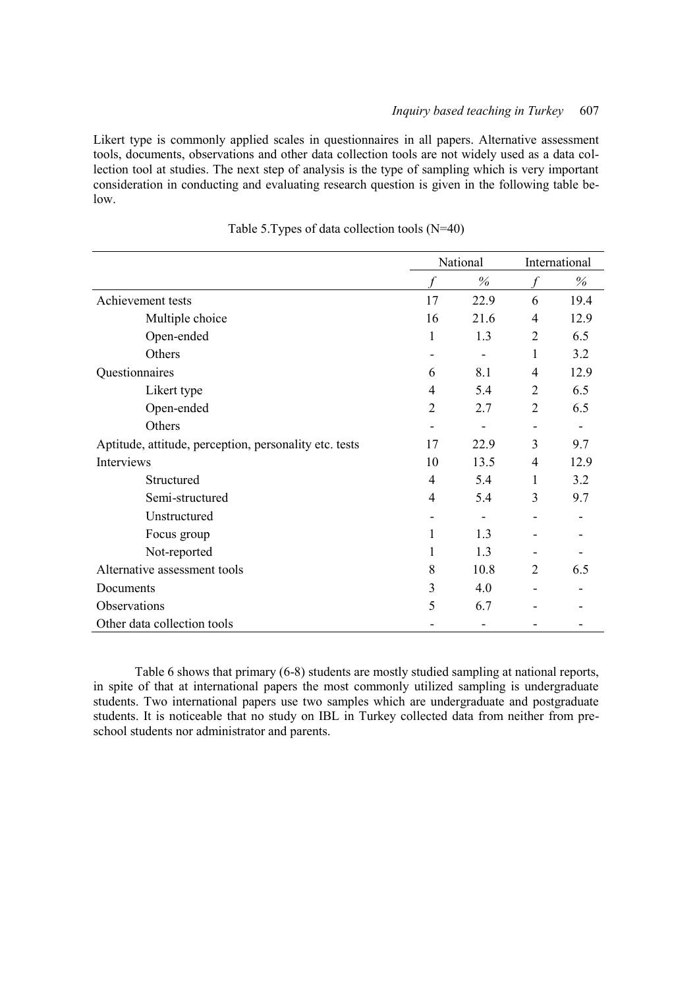Likert type is commonly applied scales in questionnaires in all papers. Alternative assessment tools, documents, observations and other data collection tools are not widely used as a data collection tool at studies. The next step of analysis is the type of sampling which is very important consideration in conducting and evaluating research question is given in the following table below.

|                                                        | National       |      |                | International            |
|--------------------------------------------------------|----------------|------|----------------|--------------------------|
|                                                        |                | %    |                | %                        |
| Achievement tests                                      | 17             | 22.9 | 6              | 19.4                     |
| Multiple choice                                        | 16             | 21.6 | $\overline{4}$ | 12.9                     |
| Open-ended                                             | 1              | 1.3  | $\overline{2}$ | 6.5                      |
| Others                                                 | ۰              |      | 1              | 3.2                      |
| Questionnaires                                         | 6              | 8.1  | 4              | 12.9                     |
| Likert type                                            | $\overline{4}$ | 5.4  | $\overline{2}$ | 6.5                      |
| Open-ended                                             | $\overline{2}$ | 2.7  | $\overline{2}$ | 6.5                      |
| Others                                                 | -              |      | ۰              | $\overline{\phantom{a}}$ |
| Aptitude, attitude, perception, personality etc. tests | 17             | 22.9 | 3              | 9.7                      |
| Interviews                                             | 10             | 13.5 | $\overline{4}$ | 12.9                     |
| Structured                                             | 4              | 5.4  | 1              | 3.2                      |
| Semi-structured                                        | 4              | 5.4  | 3              | 9.7                      |
| Unstructured                                           |                |      |                |                          |
| Focus group                                            | 1              | 1.3  |                |                          |
| Not-reported                                           | 1              | 1.3  |                |                          |
| Alternative assessment tools                           | 8              | 10.8 | $\overline{2}$ | 6.5                      |
| Documents                                              | 3              | 4.0  |                |                          |
| Observations                                           | 5              | 6.7  |                |                          |
| Other data collection tools                            |                |      |                |                          |

| Table 5. Types of data collection tools (N=40) |
|------------------------------------------------|
|------------------------------------------------|

Table 6 shows that primary (6-8) students are mostly studied sampling at national reports, in spite of that at international papers the most commonly utilized sampling is undergraduate students. Two international papers use two samples which are undergraduate and postgraduate students. It is noticeable that no study on IBL in Turkey collected data from neither from preschool students nor administrator and parents.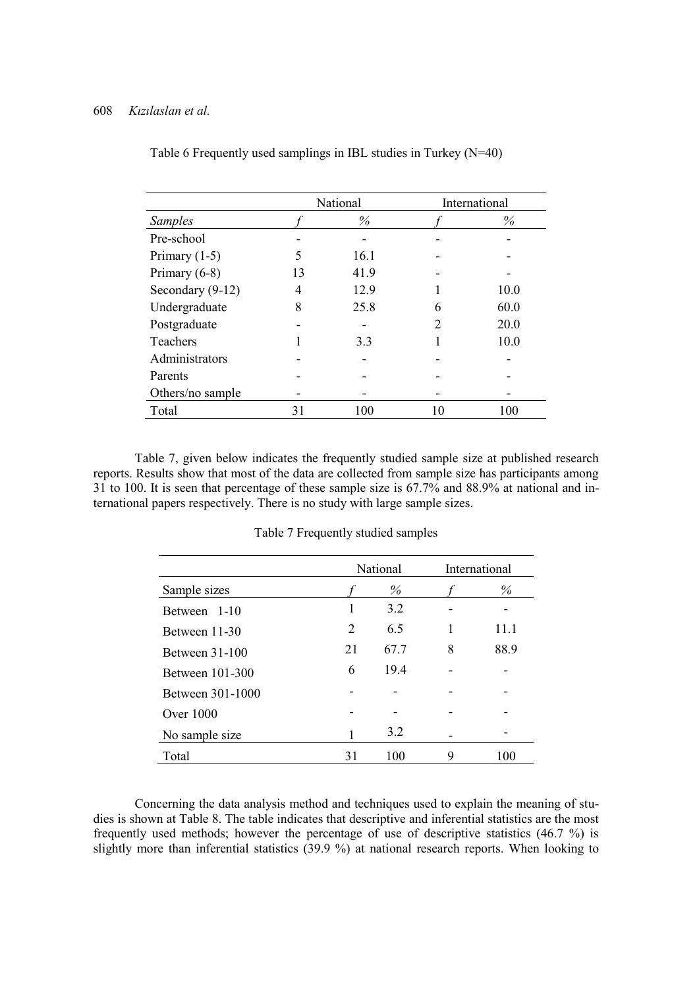|                  |    | National |                | International |
|------------------|----|----------|----------------|---------------|
| <b>Samples</b>   |    | $\%$     |                | $\%$          |
| Pre-school       |    |          |                |               |
| Primary $(1-5)$  | 5  | 16.1     |                |               |
| Primary $(6-8)$  | 13 | 41.9     |                |               |
| Secondary (9-12) | 4  | 12.9     |                | 10.0          |
| Undergraduate    | 8  | 25.8     | 6              | 60.0          |
| Postgraduate     |    |          | $\mathfrak{D}$ | 20.0          |
| Teachers         |    | 3.3      |                | 10.0          |
| Administrators   |    |          |                |               |
| Parents          |    |          |                |               |
| Others/no sample |    |          |                |               |
| Total            | 31 | 100      |                | 100           |

Table 6 Frequently used samplings in IBL studies in Turkey (N=40)

Table 7, given below indicates the frequently studied sample size at published research reports. Results show that most of the data are collected from sample size has participants among 31 to 100. It is seen that percentage of these sample size is 67.7% and 88.9% at national and international papers respectively. There is no study with large sample sizes.

|                  |    | National |   | International |
|------------------|----|----------|---|---------------|
| Sample sizes     |    | $\%$     |   | $\%$          |
| Between 1-10     | 1  | 3.2      |   |               |
| Between 11-30    | 2  | 6.5      |   | 11.1          |
| Between 31-100   | 21 | 67.7     | 8 | 88.9          |
| Between 101-300  | 6  | 19.4     |   |               |
| Between 301-1000 |    |          |   |               |
| Over $1000$      |    |          |   |               |
| No sample size   | 1  | 3.2      |   |               |
| Total            | 31 | 100      | 9 | 100           |

Table 7 Frequently studied samples

Concerning the data analysis method and techniques used to explain the meaning of studies is shown at Table 8. The table indicates that descriptive and inferential statistics are the most frequently used methods; however the percentage of use of descriptive statistics (46.7 %) is slightly more than inferential statistics (39.9 %) at national research reports. When looking to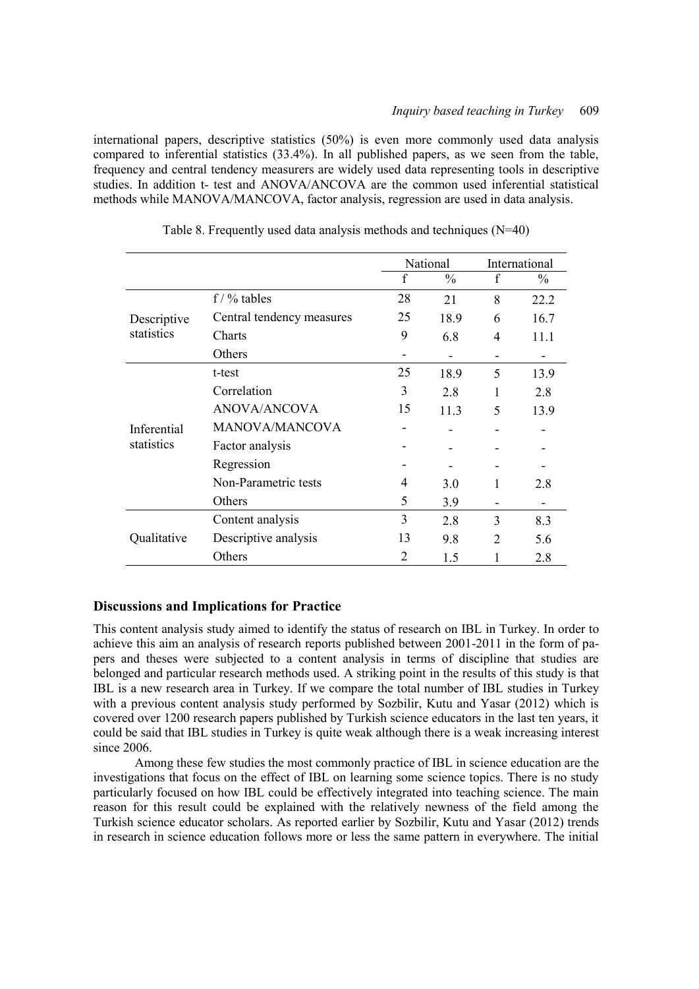international papers, descriptive statistics (50%) is even more commonly used data analysis compared to inferential statistics (33.4%). In all published papers, as we seen from the table, frequency and central tendency measurers are widely used data representing tools in descriptive studies. In addition t- test and ANOVA/ANCOVA are the common used inferential statistical methods while MANOVA/MANCOVA, factor analysis, regression are used in data analysis.

|             |                           |    | National      |               | International |
|-------------|---------------------------|----|---------------|---------------|---------------|
|             |                           | f  | $\frac{0}{0}$ | f             | $\frac{0}{0}$ |
|             | $f / \%$ tables           | 28 | 21            | 8             | 22.2          |
| Descriptive | Central tendency measures | 25 | 18.9          | 6             | 16.7          |
| statistics  | <b>Charts</b>             | 9  | 6.8           | 4             | 11.1          |
|             | Others                    |    |               | -             |               |
|             | t-test                    | 25 | 18.9          | 5             | 13.9          |
| Inferential | Correlation               | 3  | 2.8           | 1             | 2.8           |
|             | ANOVA/ANCOVA              | 15 | 11.3          | 5             | 13.9          |
|             | <b>MANOVA/MANCOVA</b>     |    |               |               |               |
| statistics  | Factor analysis           |    |               |               |               |
|             | Regression                |    |               |               |               |
|             | Non-Parametric tests      | 4  | 3.0           | 1             | 2.8           |
|             | Others                    | 5  | 3.9           | -             |               |
|             | Content analysis          | 3  | 2.8           | 3             | 8.3           |
| Qualitative | Descriptive analysis      | 13 | 9.8           | $\mathcal{L}$ | 5.6           |
|             | Others                    | 2  | 1.5           |               | 2.8           |

Table 8. Frequently used data analysis methods and techniques (N=40)

# **Discussions and Implications for Practice**

This content analysis study aimed to identify the status of research on IBL in Turkey. In order to achieve this aim an analysis of research reports published between 2001-2011 in the form of papers and theses were subjected to a content analysis in terms of discipline that studies are belonged and particular research methods used. A striking point in the results of this study is that IBL is a new research area in Turkey. If we compare the total number of IBL studies in Turkey with a previous content analysis study performed by Sozbilir, Kutu and Yasar (2012) which is covered over 1200 research papers published by Turkish science educators in the last ten years, it could be said that IBL studies in Turkey is quite weak although there is a weak increasing interest since 2006.

Among these few studies the most commonly practice of IBL in science education are the investigations that focus on the effect of IBL on learning some science topics. There is no study particularly focused on how IBL could be effectively integrated into teaching science. The main reason for this result could be explained with the relatively newness of the field among the Turkish science educator scholars. As reported earlier by Sozbilir, Kutu and Yasar (2012) trends in research in science education follows more or less the same pattern in everywhere. The initial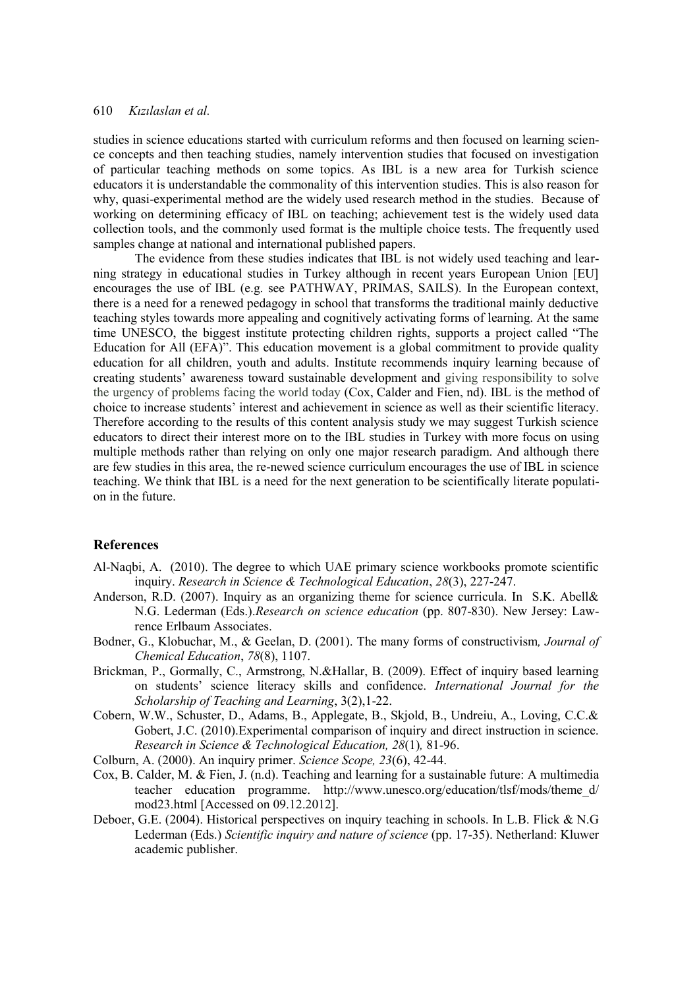studies in science educations started with curriculum reforms and then focused on learning science concepts and then teaching studies, namely intervention studies that focused on investigation of particular teaching methods on some topics. As IBL is a new area for Turkish science educators it is understandable the commonality of this intervention studies. This is also reason for why, quasi-experimental method are the widely used research method in the studies. Because of working on determining efficacy of IBL on teaching; achievement test is the widely used data collection tools, and the commonly used format is the multiple choice tests. The frequently used samples change at national and international published papers.

The evidence from these studies indicates that IBL is not widely used teaching and learning strategy in educational studies in Turkey although in recent years European Union [EU] encourages the use of IBL (e.g. see PATHWAY, PRIMAS, SAILS). In the European context, there is a need for a renewed pedagogy in school that transforms the traditional mainly deductive teaching styles towards more appealing and cognitively activating forms of learning. At the same time UNESCO, the biggest institute protecting children rights, supports a project called "The Education for All (EFA)". This education movement is a global commitment to provide quality education for all children, youth and adults. Institute recommends inquiry learning because of creating students' awareness toward sustainable development and giving responsibility to solve the urgency of problems facing the world today (Cox, Calder and Fien, nd). IBL is the method of choice to increase students' interest and achievement in science as well as their scientific literacy. Therefore according to the results of this content analysis study we may suggest Turkish science educators to direct their interest more on to the IBL studies in Turkey with more focus on using multiple methods rather than relying on only one major research paradigm. And although there are few studies in this area, the re-newed science curriculum encourages the use of IBL in science teaching. We think that IBL is a need for the next generation to be scientifically literate population in the future.

# **References**

- Al-Naqbi, A. (2010). The degree to which UAE primary science workbooks promote scientific inquiry. *Research in Science & Technological Education*, *28*(3), 227-247.
- Anderson, R.D. (2007). Inquiry as an organizing theme for science curricula. In S.K. Abell& N.G. Lederman (Eds.).*Research on science education* (pp. 807-830). New Jersey: Lawrence Erlbaum Associates.
- Bodner, G., Klobuchar, M., & Geelan, D. (2001). The many forms of constructivism*, Journal of Chemical Education*, *78*(8), 1107.
- Brickman, P., Gormally, C., Armstrong, N.&Hallar, B. (2009). Effect of inquiry based learning on students' science literacy skills and confidence. *International Journal for the Scholarship of Teaching and Learning*, 3(2),1-22.
- Cobern, W.W., Schuster, D., Adams, B., Applegate, B., Skjold, B., Undreiu, A., Loving, C.C.& Gobert, J.C. (2010).Experimental comparison of inquiry and direct instruction in science. *Research in Science & Technological Education, 28*(1)*,* 81-96.

Colburn, A. (2000). An inquiry primer. *Science Scope, 23*(6), 42-44.

- Cox, B. Calder, M. & Fien, J. (n.d). Teaching and learning for a sustainable future: A multimedia teacher education programme. http://www.unesco.org/education/tlsf/mods/theme\_d/ mod23.html [Accessed on 09.12.2012].
- Deboer, G.E. (2004). Historical perspectives on inquiry teaching in schools. In L.B. Flick & N.G Lederman (Eds.) *Scientific inquiry and nature of science* (pp. 17-35). Netherland: Kluwer academic publisher.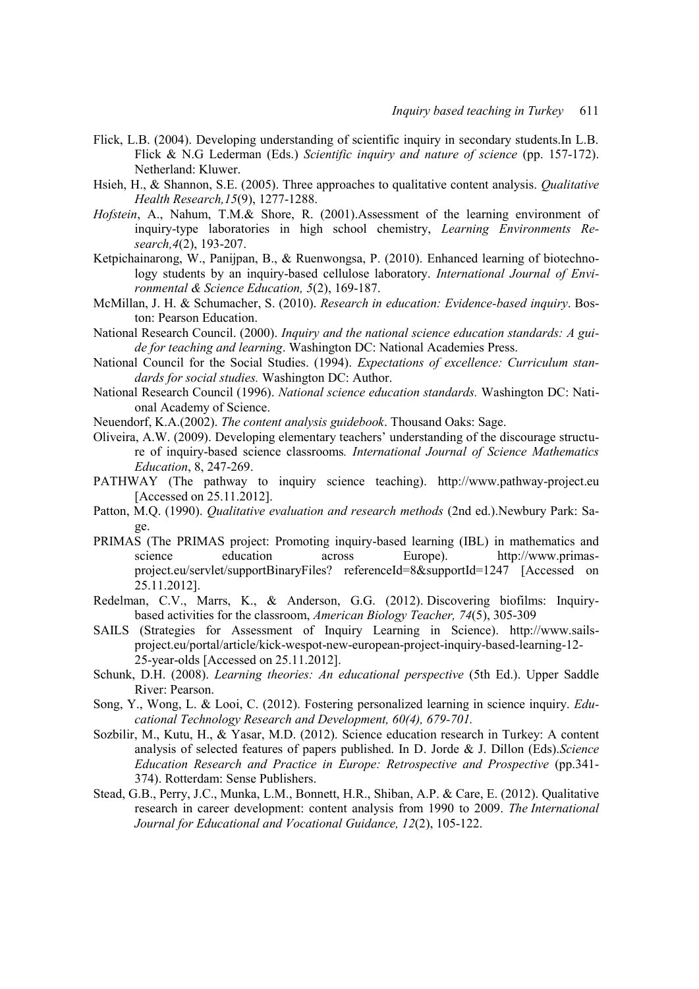- Flick, L.B. (2004). Developing understanding of scientific inquiry in secondary students.In L.B. Flick & N.G Lederman (Eds.) *Scientific inquiry and nature of science* (pp. 157-172). Netherland: Kluwer.
- Hsieh, H., & Shannon, S.E. (2005). Three approaches to qualitative content analysis. *Qualitative Health Research,15*(9), 1277-1288.
- *Hofstein*, A., Nahum, T.M.& Shore, R. (2001).Assessment of the learning environment of inquiry-type laboratories in high school chemistry, *Learning Environments Research,4*(2), 193-207.
- Ketpichainarong, W., Panijpan, B., & Ruenwongsa, P. (2010). Enhanced learning of biotechnology students by an inquiry-based cellulose laboratory. *International Journal of Environmental & Science Education, 5*(2), 169-187.
- McMillan, J. H. & Schumacher, S. (2010). *Research in education: Evidence-based inquiry*. Boston: Pearson Education.
- National Research Council. (2000). *Inquiry and the national science education standards: A guide for teaching and learning*. Washington DC: National Academies Press.
- National Council for the Social Studies. (1994). *Expectations of excellence: Curriculum standards for social studies.* Washington DC: Author.
- National Research Council (1996). *National science education standards.* Washington DC: National Academy of Science.
- Neuendorf, K.A.(2002). *The content analysis guidebook*. Thousand Oaks: Sage.
- Oliveira, A.W. (2009). Developing elementary teachers' understanding of the discourage structure of inquiry-based science classrooms*. International Journal of Science Mathematics Education*, 8, 247-269.
- PATHWAY (The pathway to inquiry science teaching). [http://www.pathway-project.eu](http://www.pathway-project.eu/) [Accessed on 25.11.2012].
- Patton, M.Q. (1990). *Qualitative evaluation and research methods* (2nd ed.).Newbury Park: Sage.
- PRIMAS (The PRIMAS project: Promoting inquiry-based learning (IBL) in mathematics and science education across Europe). http://www.primasproject.eu/servlet/supportBinaryFiles? referenceId=8&supportId=1247 [Accessed on 25.11.2012].
- Redelman, C.V., Marrs, K., & Anderson, G.G. (2012). Discovering biofilms: Inquirybased activities for the classroom, *American Biology Teacher, 74*(5), 305-309
- SAILS (Strategies for Assessment of Inquiry Learning in Science). http://www.sailsproject.eu/portal/article/kick-wespot-new-european-project-inquiry-based-learning-12- 25-year-olds [Accessed on 25.11.2012].
- Schunk, D.H. (2008). *Learning theories: An educational perspective* (5th Ed.). Upper Saddle River: Pearson.
- Song, Y., Wong, L. & Looi, C. (2012). Fostering personalized learning in science inquiry. *Educational Technology Research and Development, 60(4), 679-701.*
- Sozbilir, M., Kutu, H., & Yasar, M.D. (2012). Science education research in Turkey: A content analysis of selected features of papers published. In D. Jorde & J. Dillon (Eds).*Science Education Research and Practice in Europe: Retrospective and Prospective* (pp.341- 374). Rotterdam: Sense Publishers.
- Stead, G.B., Perry, J.C., Munka, L.M., Bonnett, H.R., Shiban, A.P. & Care, E. (2012). Qualitative research in career development: content analysis from 1990 to 2009. *The International Journal for Educational and Vocational Guidance, 12*(2), 105-122.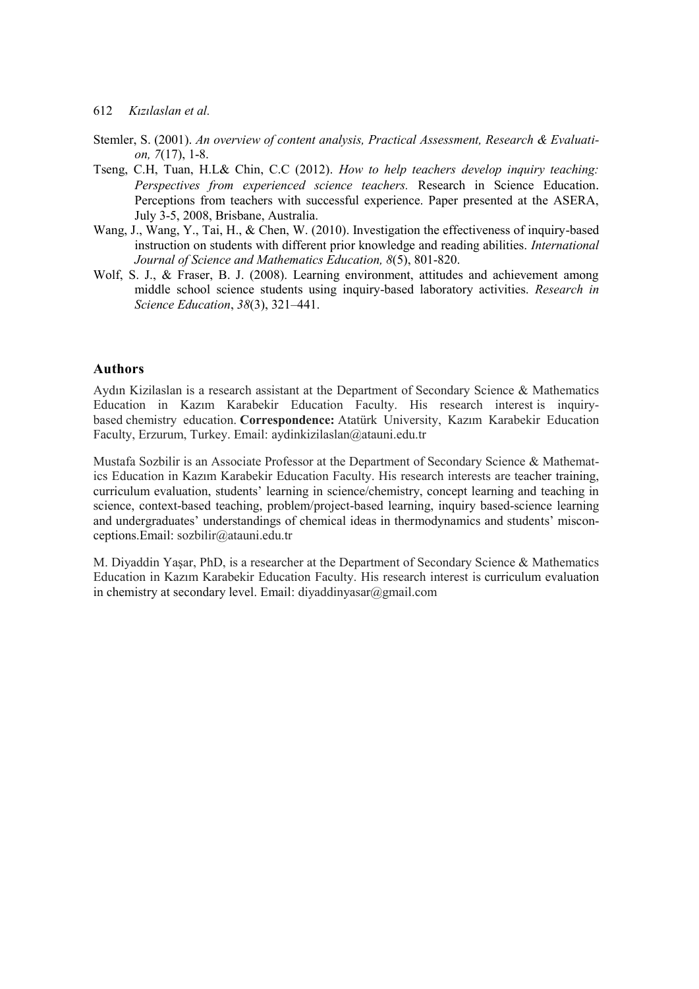- Stemler, S. (2001). *An overview of content analysis, Practical Assessment, Research & Evaluation, 7*(17), 1-8.
- Tseng, C.H, Tuan, H.L& Chin, C.C (2012). *How to help teachers develop inquiry teaching: Perspectives from experienced science teachers.* Research in Science Education. Perceptions from teachers with successful experience. Paper presented at the ASERA, July 3-5, 2008, Brisbane, Australia.
- Wang, J., Wang, Y., Tai, H., & Chen, W. (2010). Investigation the effectiveness of inquiry-based instruction on students with different prior knowledge and reading abilities. *International Journal of Science and Mathematics Education, 8*(5), 801-820.
- Wolf, S. J., & Fraser, B. J. (2008). Learning environment, attitudes and achievement among middle school science students using inquiry-based laboratory activities. *Research in Science Education*, *38*(3), 321–441.

#### **Authors**

Aydın Kizilaslan is a research assistant at the Department of Secondary Science & Mathematics Education in Kazım Karabekir Education Faculty. His research interest is inquirybased chemistry education. **Correspondence:** Atatürk University, Kazım Karabekir Education Faculty, Erzurum, Turkey. Email: aydinkizilaslan@atauni.edu.tr

Mustafa Sozbilir is an Associate Professor at the Department of Secondary Science & Mathematics Education in Kazım Karabekir Education Faculty. His research interests are teacher training, curriculum evaluation, students' learning in science/chemistry, concept learning and teaching in science, context-based teaching, problem/project-based learning, inquiry based-science learning and undergraduates' understandings of chemical ideas in thermodynamics and students' misconceptions.Email: sozbilir@atauni.edu.tr

M. Diyaddin Yaşar, PhD, is a researcher at the Department of Secondary Science & Mathematics Education in Kazım Karabekir Education Faculty. His research interest is curriculum evaluation in chemistry at secondary level. Email: diyaddinyasar@gmail.com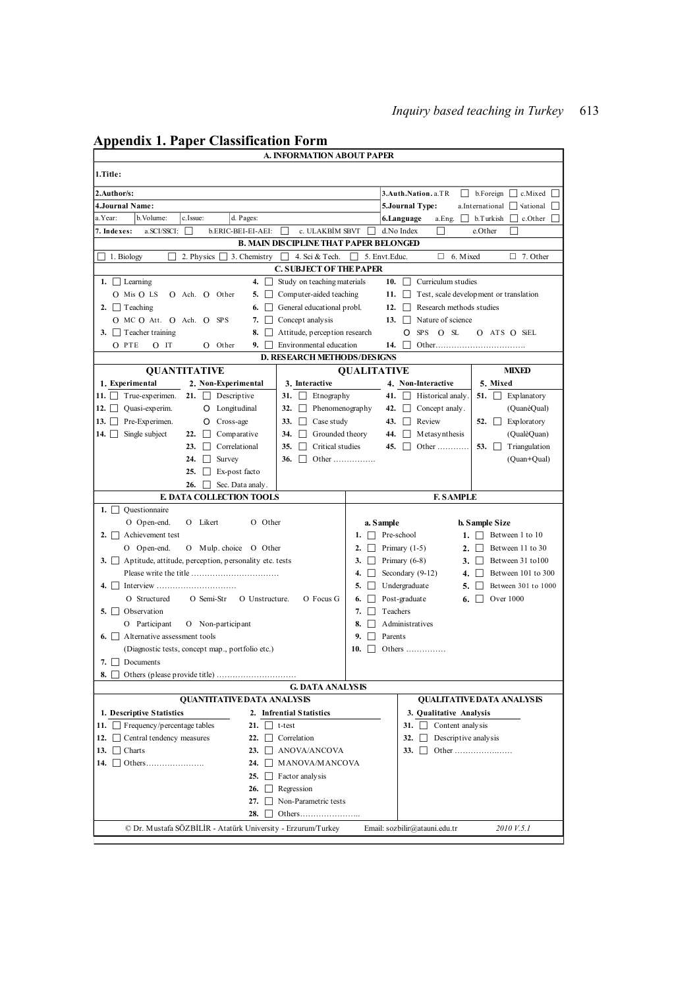| Appenuix 1. Paper Classification Form<br>A. INFORMATION ABOUT PAPER                                                      |                     |                                                    |                                                |
|--------------------------------------------------------------------------------------------------------------------------|---------------------|----------------------------------------------------|------------------------------------------------|
| 1.Title:                                                                                                                 |                     |                                                    |                                                |
|                                                                                                                          |                     |                                                    |                                                |
| 2.Author/s:                                                                                                              |                     | 3.Auth.Nation.a.TR                                 | $\Box$ b. Foreign $\Box$ c. Mixed $\Box$       |
| 4.Journal Name:<br>a.Year:<br>b. Volume:                                                                                 |                     | 5.Journal Type:<br>$\perp$                         | a.International<br>$\Box$ Vational $\Box$      |
| c.Issue:<br>d. Pages:<br>7. Indexes:<br>a.SCI/SSCI:<br>ĪΙ                                                                |                     | 6.Language<br>a.Eng.<br>П                          | b. Turkish<br>$\Box$ c.Other $\Box$<br>e.Other |
| b.ERIC-BEI-EI-AEI:<br>c. ULAKBİM SBVT<br><b>B. MAIN DISCIPLINE THAT PAPER BELONGED</b>                                   |                     | d.No Index                                         |                                                |
| 2. Physics $\Box$ 3. Chemistry $\Box$ 4. Sci & Tech.<br>$\Box$ 1. Biology                                                | 5. Envt.Educ.       | п<br>6. Mixed                                      | $\Box$ 7. Other                                |
| <b>C. SUBJECT OF THE PAPER</b>                                                                                           |                     |                                                    |                                                |
| 1. $\Box$ Learning<br>Study on teaching materials<br>4. $\Box$                                                           | 10.                 | Curriculum studies<br>$\perp$                      |                                                |
| O Mis O LS<br>5. Computer-aided teaching<br>O Ach. O Other                                                               |                     | 11. $\vert \vert$                                  | Test, scale development or translation         |
| 2. $\Box$ Teaching<br>General educational probl.<br>6. $\vert$                                                           | 12.                 | Research methods studies                           |                                                |
| O MC O Att. O Ach. O SPS<br>Concept analysis<br>7.                                                                       |                     | Nature of science<br>13. $\Box$                    |                                                |
| 3. $\Box$ Teacher training<br>Attitude, perception research<br>$8. \mid$                                                 |                     | SPS O SL<br>Ο                                      | O ATS O SIEL                                   |
| Environmental education<br>O PTE<br>$O$ Other<br>9. I<br>$O$ IT                                                          | 14.                 |                                                    |                                                |
| <b>D. RESEARCH METHODS/DESIGNS</b>                                                                                       |                     |                                                    |                                                |
| <b>QUANTITATIVE</b>                                                                                                      | <b>OUALITATIVE</b>  |                                                    | <b>MIXED</b>                                   |
| 1. Experimental<br>2. Non-Experimental<br>3. Interactive<br>11. $\Box$ True-experimen.                                   |                     | 4. Non-Interactive<br>41. $\Box$ Historical analy. | 5. Mixed                                       |
| 21. $\Box$ Descriptive<br>31. $\Box$ Etnography<br>12. $\Box$ Quasi-experim.<br>Phenomenography<br>O Longitudinal<br>32. | 42.                 | $\Box$ Concept analy.                              | 51. $\Box$ Explanatory<br>(QuanèQual)          |
| 13. $\Box$ Pre-Experimen.<br>$\Box$ Case study<br>O Cross-age<br>33.                                                     |                     | 43. $\Box$ Review                                  | 52. $\Box$ Exploratory                         |
| 14. $\Box$ Single subject<br>22.<br>Comparative<br>34.<br>Grounded theory                                                | 44.                 | $\Box$ Metasynthesis                               | (QualèQuan)                                    |
| $\Box$ Critical studies<br>23.<br>$\Box$ Correlational<br>35.                                                            |                     | 45. Other                                          | 53. $\Box$<br>Triangulation                    |
| 24.<br>Survey<br>36. Other                                                                                               |                     |                                                    | (Quan+Qual)                                    |
| 25.<br>Ex-post facto                                                                                                     |                     |                                                    |                                                |
| Sec. Data analy.<br>26.                                                                                                  |                     |                                                    |                                                |
| <b>E, DATA COLLECTION TOOLS</b>                                                                                          |                     | <b>F. SAMPLE</b>                                   |                                                |
| Questionnaire<br>$1. \Box$                                                                                               |                     |                                                    |                                                |
|                                                                                                                          |                     |                                                    |                                                |
| O Likert<br>O Other<br>O Open-end.                                                                                       | a. Sample           |                                                    | <b>b.</b> Sample Size                          |
| 2. $\Box$ Achievement test                                                                                               | 1.                  | Pre-school                                         | 1. $\Box$ Between 1 to 10                      |
| O Open-end.<br>O Mulp choice O Other                                                                                     | 2.                  | Primary $(1-5)$                                    | 2. $\Box$ Between 11 to 30                     |
| 3. Aptitude, attitude, perception, personality etc. tests                                                                | 3.                  | Primary (6-8)                                      | Between 31 to 100<br>$3. \perp$                |
|                                                                                                                          | 4.                  | Secondary $(9-12)$                                 | 4. Between 101 to 300                          |
|                                                                                                                          | 5.                  | Undergraduate<br>5.                                | Between 301 to 1000                            |
| O Semi-Str<br>O Focus G<br>O Structured<br>O Unstructure.                                                                | 6.                  | Post-graduate<br>6.                                | Over 1000                                      |
| 5. $\Box$ Observation                                                                                                    | 7.<br>$\Box$        | Teachers                                           |                                                |
| O Participant<br>O Non-participant<br>6. $\Box$ Alternative assessment tools                                             | 8.<br>9.<br>Parents | Administratives                                    |                                                |
| (Diagnostic tests, concept map., portfolio etc.)                                                                         | $10.$               | Others $\dots \dots \dots$                         |                                                |
| 7. $\Box$ Documents                                                                                                      |                     |                                                    |                                                |
|                                                                                                                          |                     |                                                    |                                                |
| <b>G. DATA ANALYSIS</b>                                                                                                  |                     |                                                    |                                                |
| QUANTITATIVE DATA ANALYSIS                                                                                               |                     |                                                    | QUALITATIVE DATA ANALYSIS                      |
| 1. Descriptive Statistics<br>2. Infrential Statistics                                                                    |                     | 3. Qualitative Analysis                            |                                                |
| 11. $\Box$ Frequency/percentage tables<br>21. $\Box$ t-test                                                              |                     | 31. $\Box$ Content analysis                        |                                                |
| 12. Central tendency measures<br>22. $\Box$ Correlation                                                                  |                     | 32. $\Box$ Descriptive analysis                    |                                                |
| 13. $\Box$ Charts<br>23. ANOVA/ANCOVA                                                                                    |                     |                                                    |                                                |
| 24. □ MANOVA/MANCOVA                                                                                                     |                     |                                                    |                                                |
| 25. $\Box$ Factor analysis                                                                                               |                     |                                                    |                                                |
| 26. Regression<br>27. $\Box$ Non-Parametric tests                                                                        |                     |                                                    |                                                |
| 28.                                                                                                                      |                     |                                                    |                                                |
| © Dr. Mustafa SÖZBİLİR - Atatürk University - Erzurum/Turkey                                                             |                     | Email: sozbilir@atauni.edu.tr                      | 2010 V.5.1                                     |

# **Appendix 1. Paper Classification Form**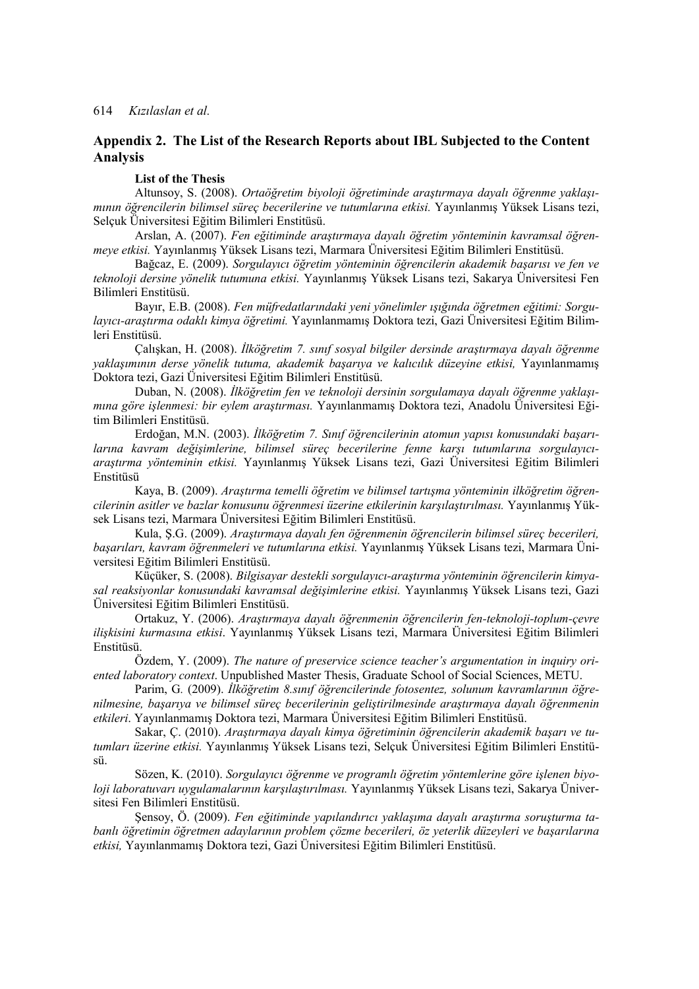# **Appendix 2. The List of the Research Reports about IBL Subjected to the Content Analysis**

#### **List of the Thesis**

Altunsoy, S. (2008). *Ortaöğretim biyoloji öğretiminde araştırmaya dayalı öğrenme yaklaşımının öğrencilerin bilimsel süreç becerilerine ve tutumlarına etkisi.* Yayınlanmış Yüksek Lisans tezi, Selçuk Üniversitesi Eğitim Bilimleri Enstitüsü.

Arslan, A. (2007). *Fen eğitiminde araştırmaya dayalı öğretim yönteminin kavramsal öğrenmeye etkisi.* Yayınlanmış Yüksek Lisans tezi, Marmara Üniversitesi Eğitim Bilimleri Enstitüsü.

Bağcaz, E. (2009). *Sorgulayıcı öğretim yönteminin öğrencilerin akademik başarısı ve fen ve teknoloji dersine yönelik tutumuna etkisi.* Yayınlanmış Yüksek Lisans tezi, Sakarya Üniversitesi Fen Bilimleri Enstitüsü.

Bayır, E.B. (2008). *Fen müfredatlarındaki yeni yönelimler ışığında öğretmen eğitimi: Sorgulayıcı-araştırma odaklı kimya öğretimi.* Yayınlanmamış Doktora tezi, Gazi Üniversitesi Eğitim Bilimleri Enstitüsü.

Çalışkan, H. (2008). *İlköğretim 7. sınıf sosyal bilgiler dersinde araştırmaya dayalı öğrenme yaklaşımının derse yönelik tutuma, akademik başarıya ve kalıcılık düzeyine etkisi,* Yayınlanmamış Doktora tezi, Gazi Üniversitesi Eğitim Bilimleri Enstitüsü.

Duban, N. (2008). *İlköğretim fen ve teknoloji dersinin sorgulamaya dayalı öğrenme yaklaşımına göre işlenmesi: bir eylem araştırması.* Yayınlanmamış Doktora tezi, Anadolu Üniversitesi Eğitim Bilimleri Enstitüsü.

Erdoğan, M.N. (2003). *İlköğretim 7. Sınıf öğrencilerinin atomun yapısı konusundaki başarılarına kavram değişimlerine, bilimsel süreç becerilerine fenne karşı tutumlarına sorgulayıcıaraştırma yönteminin etkisi.* Yayınlanmış Yüksek Lisans tezi, Gazi Üniversitesi Eğitim Bilimleri Enstitüsü

Kaya, B. (2009). *Araştırma temelli öğretim ve bilimsel tartışma yönteminin ilköğretim öğrencilerinin asitler ve bazlar konusunu öğrenmesi üzerine etkilerinin karşılaştırılması.* Yayınlanmış Yüksek Lisans tezi, Marmara Üniversitesi Eğitim Bilimleri Enstitüsü.

Kula, Ş.G. (2009). *Araştırmaya dayalı fen öğrenmenin öğrencilerin bilimsel süreç becerileri, başarıları, kavram öğrenmeleri ve tutumlarına etkisi.* Yayınlanmış Yüksek Lisans tezi, Marmara Üniversitesi Eğitim Bilimleri Enstitüsü.

Küçüker, S. (2008). *Bilgisayar destekli sorgulayıcı-araştırma yönteminin öğrencilerin kimyasal reaksiyonlar konusundaki kavramsal değişimlerine etkisi.* Yayınlanmış Yüksek Lisans tezi, Gazi Üniversitesi Eğitim Bilimleri Enstitüsü.

Ortakuz, Y. (2006). *Araştırmaya dayalı öğrenmenin öğrencilerin fen-teknoloji-toplum-çevre ilişkisini kurmasına etkisi*. Yayınlanmış Yüksek Lisans tezi, Marmara Üniversitesi Eğitim Bilimleri Enstitüsü.

Özdem, Y. (2009). *The nature of preservice science teacher's argumentation in inquiry oriented laboratory context*. Unpublished Master Thesis, Graduate School of Social Sciences, METU.

Parim, G*.* (2009). *İlköğretim 8.sınıf öğrencilerinde fotosentez, solunum kavramlarının öğrenilmesine, başarıya ve bilimsel süreç becerilerinin geliştirilmesinde araştırmaya dayalı öğrenmenin etkileri*. Yayınlanmamış Doktora tezi, Marmara Üniversitesi Eğitim Bilimleri Enstitüsü.

Sakar, Ç. (2010). *Araştırmaya dayalı kimya öğretiminin öğrencilerin akademik başarı ve tutumları üzerine etkisi.* Yayınlanmış Yüksek Lisans tezi, Selçuk Üniversitesi Eğitim Bilimleri Enstitüsü.

Sözen, K. (2010). *Sorgulayıcı öğrenme ve programlı öğretim yöntemlerine göre işlenen biyoloji laboratuvarı uygulamalarının karşılaştırılması.* Yayınlanmış Yüksek Lisans tezi, Sakarya Üniversitesi Fen Bilimleri Enstitüsü.

Şensoy, Ö. (2009). *Fen eğitiminde yapılandırıcı yaklaşıma dayalı araştırma soruşturma tabanlı öğretimin öğretmen adaylarının problem çözme becerileri, öz yeterlik düzeyleri ve başarılarına etkisi,* Yayınlanmamış Doktora tezi, Gazi Üniversitesi Eğitim Bilimleri Enstitüsü.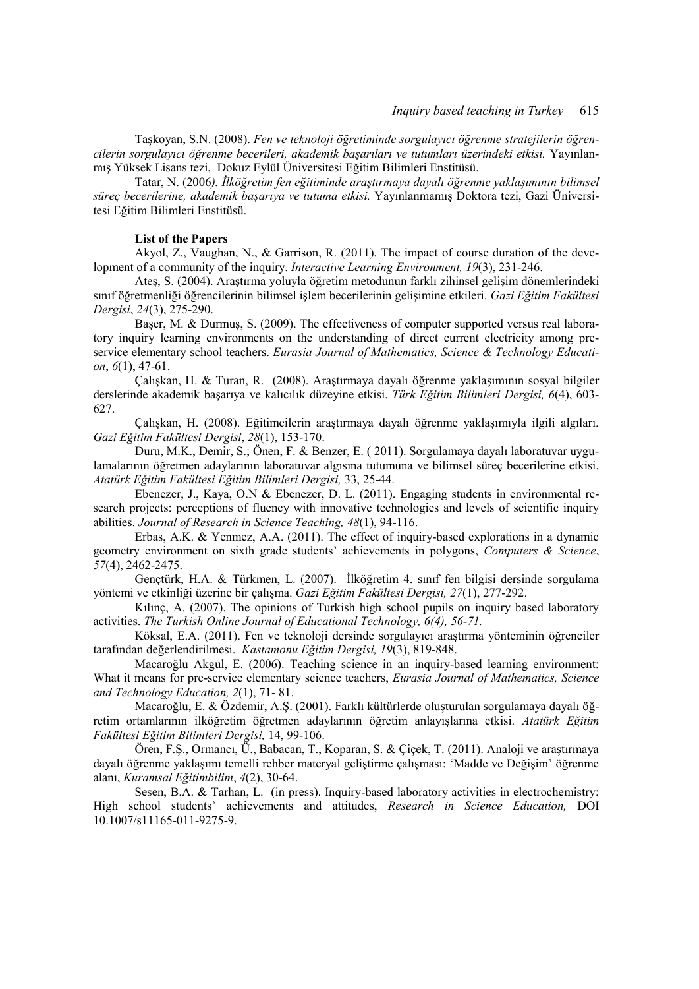Taşkoyan, S.N. (2008). *Fen ve teknoloji öğretiminde sorgulayıcı öğrenme stratejilerin öğrencilerin sorgulayıcı öğrenme becerileri, akademik başarıları ve tutumları üzerindeki etkisi.* Yayınlanmış Yüksek Lisans tezi, Dokuz Eylül Üniversitesi Eğitim Bilimleri Enstitüsü.

Tatar, N. (2006*). İlköğretim fen eğitiminde araştırmaya dayalı öğrenme yaklaşımının bilimsel süreç becerilerine, akademik başarıya ve tutuma etkisi.* Yayınlanmamış Doktora tezi, Gazi Üniversitesi Eğitim Bilimleri Enstitüsü.

#### **List of the Papers**

Akyol, Z., Vaughan, N., & Garrison, R. (2011). The impact of course duration of the development of a community of the inquiry. *Interactive Learning Environment, 19*(3), 231-246.

Ateş, S. (2004). Araştırma yoluyla öğretim metodunun farklı zihinsel gelişim dönemlerindeki sınıf öğretmenliği öğrencilerinin bilimsel işlem becerilerinin gelişimine etkileri. *Gazi Eğitim Fakültesi Dergisi*, *24*(3), 275-290.

 Başer, M. & Durmuş, S. (2009). The effectiveness of computer supported versus real laboratory inquiry learning environments on the understanding of direct current electricity among preservice elementary school teachers. *Eurasia Journal of Mathematics, Science & Technology Education*, *6*(1), 47-61.

Çalışkan, H. & Turan, R. (2008). Araştırmaya dayalı öğrenme yaklaşımının sosyal bilgiler derslerinde akademik başarıya ve kalıcılık düzeyine etkisi. *Türk Eğitim Bilimleri Dergisi, 6*(4), 603- 627.

Çalışkan, H. (2008). Eğitimcilerin araştırmaya dayalı öğrenme yaklaşımıyla ilgili algıları. *Gazi Eğitim Fakültesi Dergisi*, *28*(1), 153-170.

Duru, M.K., Demir, S.; Önen, F. & Benzer, E. ( 2011). Sorgulamaya dayalı laboratuvar uygulamalarının öğretmen adaylarının laboratuvar algısına tutumuna ve bilimsel süreç becerilerine etkisi. *Atatürk Eğitim Fakültesi Eğitim Bilimleri Dergisi,* 33, 25-44.

Ebenezer, J., Kaya, O.N & Ebenezer, D. L. (2011). Engaging students in environmental research projects: perceptions of fluency with innovative technologies and levels of scientific inquiry abilities. *Journal of Research in Science Teaching, 48*(1), 94-116.

 Erbas, A.K. & Yenmez, A.A. (2011). The effect of inquiry-based explorations in a dynamic geometry environment on sixth grade students' achievements in polygons, *Computers & Science*, *57*(4), 2462-2475.

 Gençtürk, H.A. & Türkmen, L. (2007). İlköğretim 4. sınıf fen bilgisi dersinde sorgulama yöntemi ve etkinliği üzerine bir çalışma. *Gazi Eğitim Fakültesi Dergisi, 27*(1), 277-292.

Kılınç, A. (2007). The opinions of Turkish high school pupils on inquiry based laboratory activities. *The Turkish Online Journal of Educational Technology, 6(4), 56-71.*

 Köksal, E.A. (2011). Fen ve teknoloji dersinde sorgulayıcı araştırma yönteminin öğrenciler tarafından değerlendirilmesi. *Kastamonu Eğitim Dergisi, 19*(3), 819-848.

 Macaroğlu Akgul, E. (2006). Teaching science in an inquiry-based learning environment: What it means for pre-service elementary science teachers, *Eurasia Journal of Mathematics, Science and Technology Education, 2*(1), 71- 81.

Macaroğlu, E. & Özdemir, A.Ş. (2001). Farklı kültürlerde oluşturulan sorgulamaya dayalı öğretim ortamlarının ilköğretim öğretmen adaylarının öğretim anlayışlarına etkisi. *Atatürk Eğitim Fakültesi Eğitim Bilimleri Dergisi,* 14, 99-106.

Ören, F.Ş., Ormancı, Ü., Babacan, T., Koparan, S. & Çiçek, T. (2011). Analoji ve araştırmaya dayalı öğrenme yaklaşımı temelli rehber materyal geliştirme çalışması: 'Madde ve Değişim' öğrenme alanı, *Kuramsal Eğitimbilim*, *4*(2), 30-64.

 Sesen, B.A. & Tarhan, L. (in press). Inquiry-based laboratory activities in electrochemistry: High school students' achievements and attitudes, *Research in Science Education,* DOI 10.1007/s11165-011-9275-9.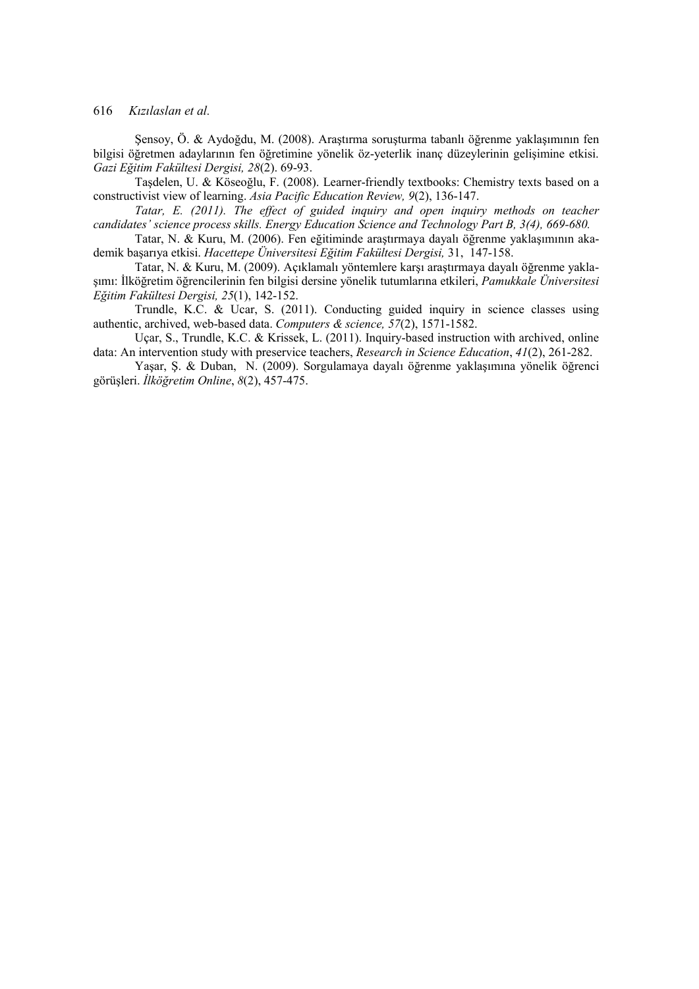Şensoy, Ö. & Aydoğdu, M. (2008). Araştırma soruşturma tabanlı öğrenme yaklaşımının fen bilgisi öğretmen adaylarının fen öğretimine yönelik öz-yeterlik inanç düzeylerinin gelişimine etkisi. *Gazi Eğitim Fakültesi Dergisi, 28*(2). 69-93.

Taşdelen, U. & Köseoğlu, F. (2008). Learner-friendly textbooks: Chemistry texts based on a constructivist view of learning. *Asia Pacific Education Review, 9*(2), 136-147.

*Tatar, E. (2011). The effect of guided inquiry and open inquiry methods on teacher candidates' science process skills. Energy Education Science and Technology Part B, 3(4), 669-680.*

 Tatar, N. & Kuru, M. (2006). Fen eğitiminde araştırmaya dayalı öğrenme yaklaşımının akademik başarıya etkisi. *Hacettepe Üniversitesi Eğitim Fakültesi Dergisi,* 31, 147-158.

Tatar, N. & Kuru, M. (2009). Açıklamalı yöntemlere karşı araştırmaya dayalı öğrenme yaklaşımı: İlköğretim öğrencilerinin fen bilgisi dersine yönelik tutumlarına etkileri, *Pamukkale Üniversitesi Eğitim Fakültesi Dergisi, 25*(1), 142-152.

Trundle, K.C. & Ucar, S. (2011). Conducting guided inquiry in science classes using authentic, archived, web-based data. *Computers & science, 57*(2), 1571-1582.

 Uçar, S., Trundle, K.C. & Krissek, L. (2011). Inquiry-based instruction with archived, online data: An intervention study with preservice teachers, *Research in Science Education*, *41*(2), 261-282.

 Yaşar, Ş. & Duban, N. (2009). Sorgulamaya dayalı öğrenme yaklaşımına yönelik öğrenci görüşleri. *İlköğretim Online*, *8*(2), 457-475.